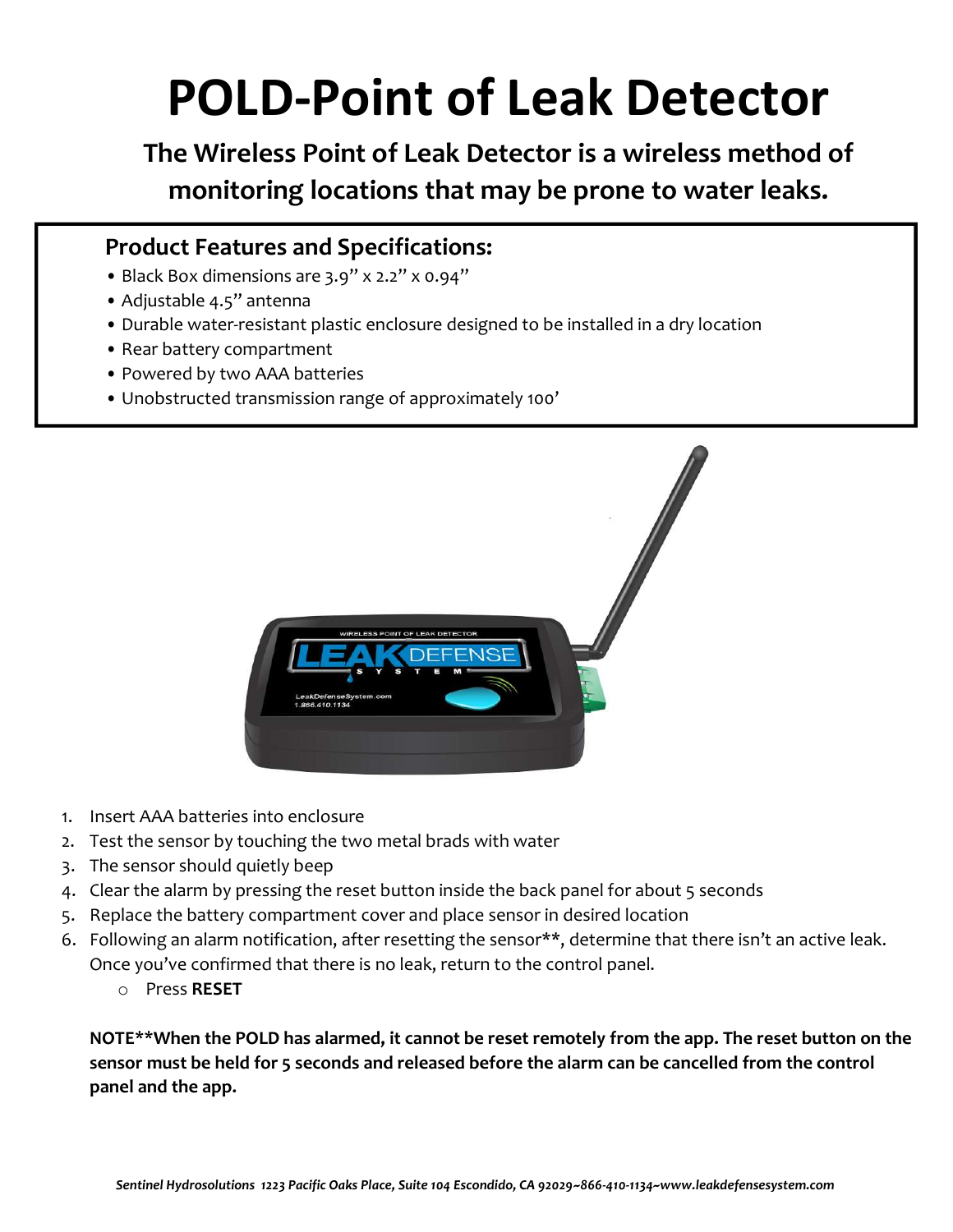## POLD-Point of Leak Detector

The Wireless Point of Leak Detector is a wireless method of monitoring locations that may be prone to water leaks.

## Product Features and Specifications:

- Black Box dimensions are 3.9" x 2.2" x 0.94"
- Adjustable 4.5" antenna
- Durable water-resistant plastic enclosure designed to be installed in a dry location
- Rear battery compartment
- Powered by two AAA batteries
- Unobstructed transmission range of approximately 100'



- 1. Insert AAA batteries into enclosure
- 2. Test the sensor by touching the two metal brads with water
- 3. The sensor should quietly beep
- 4. Clear the alarm by pressing the reset button inside the back panel for about 5 seconds
- 5. Replace the battery compartment cover and place sensor in desired location
- 6. Following an alarm notification, after resetting the sensor\*\*, determine that there isn't an active leak. Once you've confirmed that there is no leak, return to the control panel.
	- o Press RESET

NOTE\*\*When the POLD has alarmed, it cannot be reset remotely from the app. The reset button on the sensor must be held for 5 seconds and released before the alarm can be cancelled from the control panel and the app.